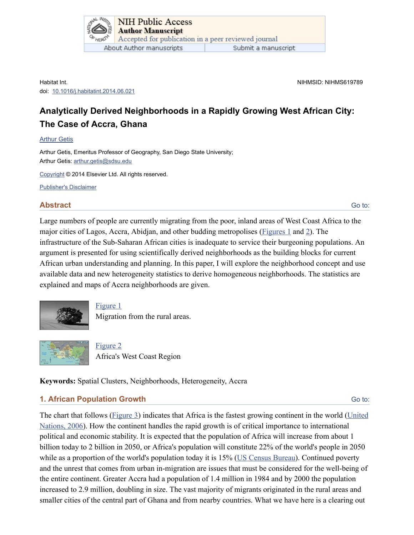Habitat Int. doi: [10.1016/j.habitatint.2014.06.021](http://dx.doi.org/10.1016%2Fj.habitatint.2014.06.021) NIHMSID: NIHMS619789

# **Analytically Derived Neighborhoods in a Rapidly Growing West African City: The Case of Accra, Ghana**

#### [Arthur Getis](http://www.ncbi.nlm.nih.gov/pubmed/?term=Getis%20A%5Bauth%5D)

Arthur Getis, Emeritus Professor of Geography, San Diego State University; Arthur Getis: [arthur.getis@sdsu.edu](mailto:dev@null)

[Copyright](https://www.nihms.nih.gov/pmc/about/copyright.html) © 2014 Elsevier Ltd. All rights reserved.

[Publisher's Disclaimer](https://www.nihms.nih.gov/pmc/articlerender.fcgi?artid=619789#FN1)

### **Abstract**

[Go to:](https://www.nihms.nih.gov/pmc/articlerender.fcgi?artid=619789#ui-ncbiinpagenav-2)

Large numbers of people are currently migrating from the poor, inland areas of West Coast Africa to the major cities of Lagos, Accra, Abidjan, and other budding metropolises ([Figures 1](https://www.nihms.nih.gov/pmc/articlerender.fcgi?artid=619789&rendertype=figure&id=F1) and [2](https://www.nihms.nih.gov/pmc/articlerender.fcgi?artid=619789&rendertype=figure&id=F2)). The infrastructure of the Sub-Saharan African cities is inadequate to service their burgeoning populations. An argument is presented for using scientifically derived neighborhoods as the building blocks for current African urban understanding and planning. In this paper, I will explore the neighborhood concept and use available data and new heterogeneity statistics to derive homogeneous neighborhoods. The statistics are explained and maps of Accra neighborhoods are given.



[Figure 1](https://www.nihms.nih.gov/pmc/articlerender.fcgi?artid=619789&rendertype=figure&id=F1) Migration from the rural areas.

[Figure 2](https://www.nihms.nih.gov/pmc/articlerender.fcgi?artid=619789&rendertype=figure&id=F2) Africa's West Coast Region

**Keywords:** Spatial Clusters, Neighborhoods, Heterogeneity, Accra

# **1. African Population Growth**

[Go to:](https://www.nihms.nih.gov/pmc/articlerender.fcgi?artid=619789#ui-ncbiinpagenav-2)

[The chart that follows \(F](https://www.nihms.nih.gov/pmc/articlerender.fcgi?artid=619789#R13)[igure](https://www.nihms.nih.gov/pmc/articlerender.fcgi?artid=619789&rendertype=figure&id=F3) [3\) indicates that Africa is the fastest growing continent in the world \(United](https://www.nihms.nih.gov/pmc/articlerender.fcgi?artid=619789#R13) Nations, 2006). How the continent handles the rapid growth is of critical importance to international political and economic stability. It is expected that the population of Africa will increase from about 1 billion today to 2 billion in 2050, or Africa's population will constitute 22% of the world's people in 2050 while as a proportion of the world's population today it is 15% ([US Census Bureau\)](https://www.nihms.nih.gov/pmc/articlerender.fcgi?artid=619789#R14). Continued poverty and the unrest that comes from urban in-migration are issues that must be considered for the well-being of the entire continent. Greater Accra had a population of 1.4 million in 1984 and by 2000 the population increased to 2.9 million, doubling in size. The vast majority of migrants originated in the rural areas and smaller cities of the central part of Ghana and from nearby countries. What we have here is a clearing out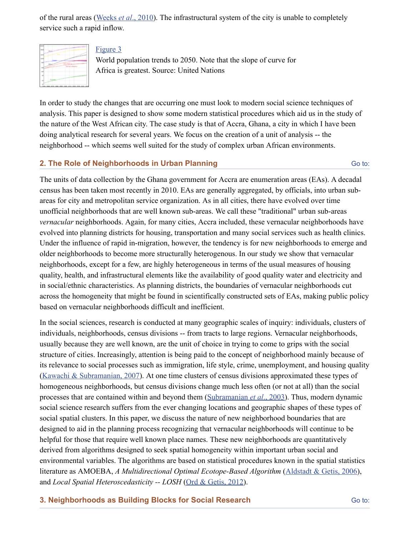of the rural areas [\(Weeks](https://www.nihms.nih.gov/pmc/articlerender.fcgi?artid=619789#R15) *et al*., 2010). The infrastructural system of the city is unable to completely service such a rapid inflow.



#### [Figure 3](https://www.nihms.nih.gov/pmc/articlerender.fcgi?artid=619789&rendertype=figure&id=F3)

World population trends to 2050. Note that the slope of curve for Africa is greatest. Source: United Nations

In order to study the changes that are occurring one must look to modern social science techniques of analysis. This paper is designed to show some modern statistical procedures which aid us in the study of the nature of the West African city. The case study is that of Accra, Ghana, a city in which I have been doing analytical research for several years. We focus on the creation of a unit of analysis -- the neighborhood -- which seems well suited for the study of complex urban African environments.

### **2. The Role of Neighborhoods in Urban Planning**

[Go to:](https://www.nihms.nih.gov/pmc/articlerender.fcgi?artid=619789#ui-ncbiinpagenav-2)

The units of data collection by the Ghana government for Accra are enumeration areas (EAs). A decadal census has been taken most recently in 2010. EAs are generally aggregated, by officials, into urban subareas for city and metropolitan service organization. As in all cities, there have evolved over time unofficial neighborhoods that are well known sub-areas. We call these "traditional" urban sub-areas *vernacular* neighborhoods. Again, for many cities, Accra included, these vernacular neighborhoods have evolved into planning districts for housing, transportation and many social services such as health clinics. Under the influence of rapid in-migration, however, the tendency is for new neighborhoods to emerge and older neighborhoods to become more structurally heterogenous. In our study we show that vernacular neighborhoods, except for a few, are highly heterogeneous in terms of the usual measures of housing quality, health, and infrastructural elements like the availability of good quality water and electricity and in social/ethnic characteristics. As planning districts, the boundaries of vernacular neighborhoods cut across the homogeneity that might be found in scientifically constructed sets of EAs, making public policy based on vernacular neighborhoods difficult and inefficient.

In the social sciences, research is conducted at many geographic scales of inquiry: individuals, clusters of individuals, neighborhoods, census divisions -- from tracts to large regions. Vernacular neighborhoods, usually because they are well known, are the unit of choice in trying to come to grips with the social structure of cities. Increasingly, attention is being paid to the concept of neighborhood mainly because of its relevance to social processes such as immigration, life style, crime, unemployment, and housing quality [\(Kawachi & Subramanian, 2007\)](https://www.nihms.nih.gov/pmc/articlerender.fcgi?artid=619789#R7). At one time clusters of census divisions approximated these types of homogeneous neighborhoods, but census divisions change much less often (or not at all) than the social processes that are contained within and beyond them [\(Subramanian](https://www.nihms.nih.gov/pmc/articlerender.fcgi?artid=619789#R11) *et al*., 2003). Thus, modern dynamic social science research suffers from the ever changing locations and geographic shapes of these types of social spatial clusters. In this paper, we discuss the nature of new neighborhood boundaries that are designed to aid in the planning process recognizing that vernacular neighborhoods will continue to be helpful for those that require well known place names. These new neighborhoods are quantitatively derived from algorithms designed to seek spatial homogeneity within important urban social and environmental variables. The algorithms are based on statistical procedures known in the spatial statistics literature as AMOEBA, *A Multidirectional Optimal Ecotope-Based Algorithm* [\(Aldstadt & Getis, 2006\)](https://www.nihms.nih.gov/pmc/articlerender.fcgi?artid=619789#R1), and *Local Spatial Heteroscedasticity -- LOSH* [\(Ord & Getis, 2012\)](https://www.nihms.nih.gov/pmc/articlerender.fcgi?artid=619789#R8).

# **3. Neighborhoods as Building Blocks for Social Research**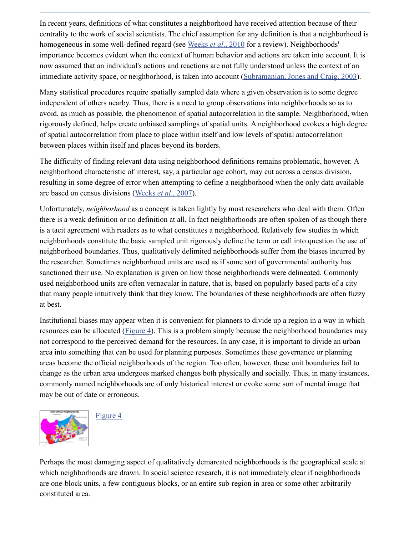In recent years, definitions of what constitutes a neighborhood have received attention because of their centrality to the work of social scientists. The chief assumption for any definition is that a neighborhood is homogeneous in some well-defined regard (see [Weeks](https://www.nihms.nih.gov/pmc/articlerender.fcgi?artid=619789#R15) *et al*., 2010 for a review). Neighborhoods' importance becomes evident when the context of human behavior and actions are taken into account. It is now assumed that an individual's actions and reactions are not fully understood unless the context of an immediate activity space, or neighborhood, is taken into account [\(Subramanian, Jones and Craig, 2003\)](https://www.nihms.nih.gov/pmc/articlerender.fcgi?artid=619789#R10).

Many statistical procedures require spatially sampled data where a given observation is to some degree independent of others nearby. Thus, there is a need to group observations into neighborhoods so as to avoid, as much as possible, the phenomenon of spatial autocorrelation in the sample. Neighborhood, when rigorously defined, helps create unbiased samplings of spatial units. A neighborhood evokes a high degree of spatial autocorrelation from place to place within itself and low levels of spatial autocorrelation between places within itself and places beyond its borders.

The difficulty of finding relevant data using neighborhood definitions remains problematic, however. A neighborhood characteristic of interest, say, a particular age cohort, may cut across a census division, resulting in some degree of error when attempting to define a neighborhood when the only data available are based on census divisions [\(Weeks](https://www.nihms.nih.gov/pmc/articlerender.fcgi?artid=619789#R17) *et al*., 2007).

Unfortunately, *neighborhood* as a concept is taken lightly by most researchers who deal with them. Often there is a weak definition or no definition at all. In fact neighborhoods are often spoken of as though there is a tacit agreement with readers as to what constitutes a neighborhood. Relatively few studies in which neighborhoods constitute the basic sampled unit rigorously define the term or call into question the use of neighborhood boundaries. Thus, qualitatively delimited neighborhoods suffer from the biases incurred by the researcher. Sometimes neighborhood units are used as if some sort of governmental authority has sanctioned their use. No explanation is given on how those neighborhoods were delineated. Commonly used neighborhood units are often vernacular in nature, that is, based on popularly based parts of a city that many people intuitively think that they know. The boundaries of these neighborhoods are often fuzzy at best.

Institutional biases may appear when it is convenient for planners to divide up a region in a way in which resources can be allocated ([Figure 4\)](https://www.nihms.nih.gov/pmc/articlerender.fcgi?artid=619789&rendertype=figure&id=F4). This is a problem simply because the neighborhood boundaries may not correspond to the perceived demand for the resources. In any case, it is important to divide an urban area into something that can be used for planning purposes. Sometimes these governance or planning areas become the official neighborhoods of the region. Too often, however, these unit boundaries fail to change as the urban area undergoes marked changes both physically and socially. Thus, in many instances, commonly named neighborhoods are of only historical interest or evoke some sort of mental image that may be out of date or erroneous.



[Figure 4](https://www.nihms.nih.gov/pmc/articlerender.fcgi?artid=619789&rendertype=figure&id=F4)

Perhaps the most damaging aspect of qualitatively demarcated neighborhoods is the geographical scale at which neighborhoods are drawn. In social science research, it is not immediately clear if neighborhoods are one-block units, a few contiguous blocks, or an entire sub-region in area or some other arbitrarily constituted area.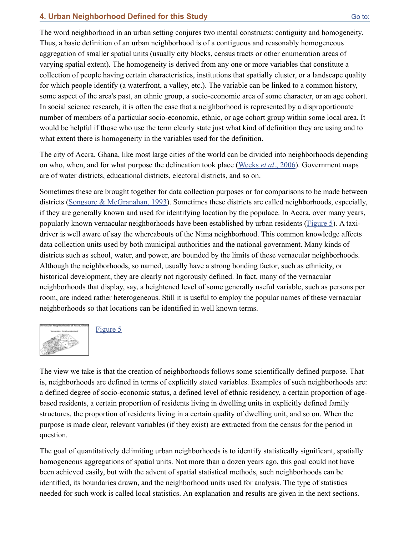### **4. Urban Neighborhood Defined for this Study** [Go to:](https://www.nihms.nih.gov/pmc/articlerender.fcgi?artid=619789#ui-ncbiinpagenav-2) Go to: Go to:

The word neighborhood in an urban setting conjures two mental constructs: contiguity and homogeneity. Thus, a basic definition of an urban neighborhood is of a contiguous and reasonably homogeneous aggregation of smaller spatial units (usually city blocks, census tracts or other enumeration areas of varying spatial extent). The homogeneity is derived from any one or more variables that constitute a collection of people having certain characteristics, institutions that spatially cluster, or a landscape quality for which people identify (a waterfront, a valley, etc.). The variable can be linked to a common history, some aspect of the area's past, an ethnic group, a socio-economic area of some character, or an age cohort. In social science research, it is often the case that a neighborhood is represented by a disproportionate number of members of a particular socio-economic, ethnic, or age cohort group within some local area. It would be helpful if those who use the term clearly state just what kind of definition they are using and to what extent there is homogeneity in the variables used for the definition.

The city of Accra, Ghana, like most large cities of the world can be divided into neighborhoods depending on who, when, and for what purpose the delineation took place [\(Weeks](https://www.nihms.nih.gov/pmc/articlerender.fcgi?artid=619789#R16) *et al*., 2006). Government maps are of water districts, educational districts, electoral districts, and so on.

Sometimes these are brought together for data collection purposes or for comparisons to be made between districts [\(Songsore & McGranahan, 1993\)](https://www.nihms.nih.gov/pmc/articlerender.fcgi?artid=619789#R9). Sometimes these districts are called neighborhoods, especially, if they are generally known and used for identifying location by the populace. In Accra, over many years, popularly known vernacular neighborhoods have been established by urban residents ([Figure 5\)](https://www.nihms.nih.gov/pmc/articlerender.fcgi?artid=619789&rendertype=figure&id=F5). A taxidriver is well aware of say the whereabouts of the Nima neighborhood. This common knowledge affects data collection units used by both municipal authorities and the national government. Many kinds of districts such as school, water, and power, are bounded by the limits of these vernacular neighborhoods. Although the neighborhoods, so named, usually have a strong bonding factor, such as ethnicity, or historical development, they are clearly not rigorously defined. In fact, many of the vernacular neighborhoods that display, say, a heightened level of some generally useful variable, such as persons per room, are indeed rather heterogeneous. Still it is useful to employ the popular names of these vernacular neighborhoods so that locations can be identified in well known terms.



[Figure 5](https://www.nihms.nih.gov/pmc/articlerender.fcgi?artid=619789&rendertype=figure&id=F5)

The view we take is that the creation of neighborhoods follows some scientifically defined purpose. That is, neighborhoods are defined in terms of explicitly stated variables. Examples of such neighborhoods are: a defined degree of socio-economic status, a defined level of ethnic residency, a certain proportion of agebased residents, a certain proportion of residents living in dwelling units in explicitly defined family structures, the proportion of residents living in a certain quality of dwelling unit, and so on. When the purpose is made clear, relevant variables (if they exist) are extracted from the census for the period in question.

The goal of quantitatively delimiting urban neighborhoods is to identify statistically significant, spatially homogeneous aggregations of spatial units. Not more than a dozen years ago, this goal could not have been achieved easily, but with the advent of spatial statistical methods, such neighborhoods can be identified, its boundaries drawn, and the neighborhood units used for analysis. The type of statistics needed for such work is called local statistics. An explanation and results are given in the next sections.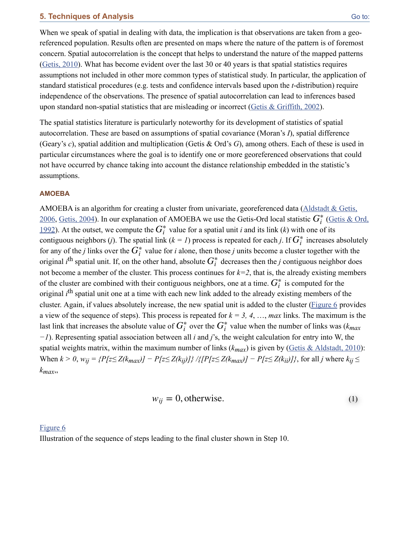#### **5. Techniques of Analysis** [Go to:](https://www.nihms.nih.gov/pmc/articlerender.fcgi?artid=619789#ui-ncbiinpagenav-2) **Containers and Containers and Containers and Containers and Containers and Containers and Containers and Containers and Containers and Containers and Containers and Containers and Contai**

When we speak of spatial in dealing with data, the implication is that observations are taken from a georeferenced population. Results often are presented on maps where the nature of the pattern is of foremost concern. Spatial autocorrelation is the concept that helps to understand the nature of the mapped patterns [\(Getis, 2010\)](https://www.nihms.nih.gov/pmc/articlerender.fcgi?artid=619789#R3). What has become evident over the last 30 or 40 years is that spatial statistics requires assumptions not included in other more common types of statistical study. In particular, the application of standard statistical procedures (e.g. tests and confidence intervals based upon the *t*-distribution) require independence of the observations. The presence of spatial autocorrelation can lead to inferences based upon standard non-spatial statistics that are misleading or incorrect (Getis & Griffith,  $2002$ ).

The spatial statistics literature is particularly noteworthy for its development of statistics of spatial autocorrelation. These are based on assumptions of spatial covariance (Moran's *I*), spatial difference (Geary's *c*), spatial addition and multiplication (Getis & Ord's *G*), among others. Each of these is used in particular circumstances where the goal is to identify one or more georeferenced observations that could not have occurred by chance taking into account the distance relationship embedded in the statistic's assumptions.

#### **AMOEBA**

AMOEBA is an algorithm for creating a cluster from univariate, georeferenced data (Aldstadt  $\&$  Getis, 2006, Getis, 2004). In our explanation of AMOEBA we use the Getis-Ord local statistic  $G_i^*$  (Getis & [Ord,](https://www.nihms.nih.gov/pmc/articlerender.fcgi?artid=619789#R6) 1992). At the outset, we compute the  $G_i^*$  value for a spatial unit *i* and its link (*k*) with one of its contiguous neighbors (*j*). The spatial link ( $k = 1$ ) process is repeated for each *j*. If  $G_i^*$  increases absolutely for any of the *j* links over the  $G_i^*$  value for *i* alone, then those *j* units become a cluster together with the original *i*<sup>th</sup> spatial unit. If, on the other hand, absolute  $G_i^*$  decreases then the *j* contiguous neighbor does not become a member of the cluster. This process continues for  $k=2$ , that is, the already existing members of the cluster are combined with their contiguous neighbors, one at a time.  $G_i^*$  is computed for the original *i*<sup>th</sup> spatial unit one at a time with each new link added to the already existing members of the cluster. Again, if values absolutely increase, the new spatial unit is added to the cluster ([Figure 6](https://www.nihms.nih.gov/pmc/articlerender.fcgi?artid=619789&rendertype=figure&id=F6) provides a view of the sequence of steps). This process is repeated for *k = 3, 4*, …, *max* links. The maximum is the last link that increases the absolute value of  $G_i^*$  over the  $G_i^*$  value when the number of links was ( $k_{max}$ ) *−1*). Representing spatial association between all *i* and *j*'s, the weight calculation for entry into W, the spatial weights matrix, within the maximum number of links ( $k_{max}$ ) is given by [\(Getis & Aldstadt, 2010\)](https://www.nihms.nih.gov/pmc/articlerender.fcgi?artid=619789#R4): When  $k > 0$ ,  $w_{ij} = \{P[z \le Z(k_{max})] - P[z \le Z(k_{ij})]\}$  /{ $[P[z \le Z(k_{max})] - P[z \le Z(k_{ij})]\}$ , for all j where  $k_{ij} \le$ *k* ,, *max*

$$
w_{ij} = 0, \text{otherwise.} \tag{1}
$$

#### [Figure 6](https://www.nihms.nih.gov/pmc/articlerender.fcgi?artid=619789&rendertype=figure&id=F6)

Illustration of the sequence of steps leading to the final cluster shown in Step 10.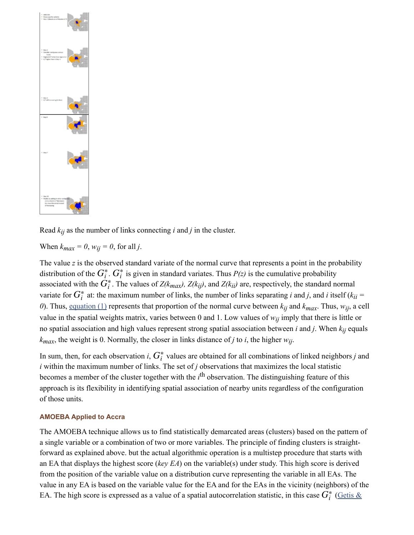

Read  $k_{ij}$  as the number of links connecting *i* and *j* in the cluster.

When  $k_{max} = 0$ ,  $w_{ij} = 0$ , for all *j*.

The value *z* is the observed standard variate of the normal curve that represents a point in the probability distribution of the  $G_i^*$ .  $G_i^*$  is given in standard variates. Thus *P(z)* is the cumulative probability associated with the  $G_i^*$ . The values of  $Z(k_{max})$ ,  $Z(k_{ij})$ , and  $Z(k_{ii})$  are, respectively, the standard normal variate for  $G_i^*$  at: the maximum number of links, the number of links separating *i* and *j*, and *i* itself ( $k_{ii}$  = *0*). Thus, [equation \(1\)](https://www.nihms.nih.gov/pmc/articlerender.fcgi?artid=619789#FD1) represents that proportion of the normal curve between  $k_{ij}$  and  $k_{max}$ . Thus,  $w_{ij}$ , a cell value in the spatial weights matrix, varies between 0 and 1. Low values of  $w_{ij}$  imply that there is little or no spatial association and high values represent strong spatial association between *i* and *j*. When  $k_{ij}$  equals  $k_{max}$ , the weight is 0. Normally, the closer in links distance of *j* to *i*, the higher  $w_{ij}$ .

In sum, then, for each observation *i*,  $G_i^*$  values are obtained for all combinations of linked neighbors *j* and *i* within the maximum number of links. The set of *j* observations that maximizes the local statistic becomes a member of the cluster together with the *i*<sup>th</sup> observation. The distinguishing feature of this approach is its flexibility in identifying spatial association of nearby units regardless of the configuration of those units.

### **AMOEBA Applied to Accra**

The AMOEBA technique allows us to find statistically demarcated areas (clusters) based on the pattern of a single variable or a combination of two or more variables. The principle of finding clusters is straightforward as explained above. but the actual algorithmic operation is a multistep procedure that starts with an EA that displays the highest score (*key EA*) on the variable(s) under study. This high score is derived from the position of the variable value on a distribution curve representing the variable in all EAs. The value in any EA is based on the variable value for the EA and for the EAs in the vicinity (neighbors) of the EA. The high score is expressed as a value of a spatial autocorrelation statistic, in this case  $G_i^*$  (Getis &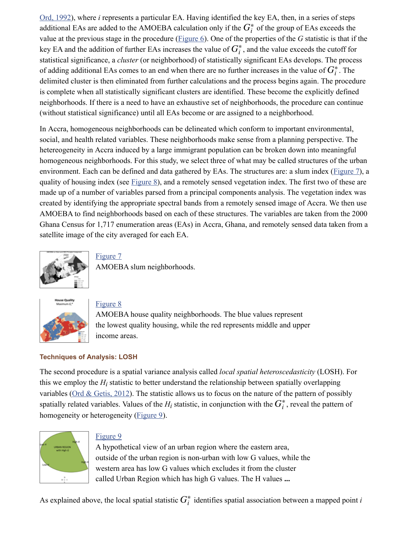Ord, 1992), where *i* [represents a particular EA. Having identified the key EA, then, in a series of steps](https://www.nihms.nih.gov/pmc/articlerender.fcgi?artid=619789#R6) additional EAs are added to the AMOEBA calculation only if the  $G_i^*$  of the group of EAs exceeds the value at the previous stage in the procedure ([Figure 6](https://www.nihms.nih.gov/pmc/articlerender.fcgi?artid=619789&rendertype=figure&id=F6)). One of the properties of the *G* statistic is that if the key EA and the addition of further EAs increases the value of  $G_i^*$  , and the value exceeds the cutoff for statistical significance, a *cluster* (or neighborhood) of statistically significant EAs develops. The process of adding additional EAs comes to an end when there are no further increases in the value of  $G_i^*$  . The delimited cluster is then eliminated from further calculations and the process begins again. The procedure is complete when all statistically significant clusters are identified. These become the explicitly defined neighborhoods. If there is a need to have an exhaustive set of neighborhoods, the procedure can continue (without statistical significance) until all EAs become or are assigned to a neighborhood.

In Accra, homogeneous neighborhoods can be delineated which conform to important environmental, social, and health related variables. These neighborhoods make sense from a planning perspective. The hetereogeneity in Accra induced by a large immigrant population can be broken down into meaningful homogeneous neighborhoods. For this study, we select three of what may be called structures of the urban environment. Each can be defined and data gathered by EAs. The structures are: a slum index [\(Figure 7\)](https://www.nihms.nih.gov/pmc/articlerender.fcgi?artid=619789&rendertype=figure&id=F7), a quality of housing index (see [Figure 8\)](https://www.nihms.nih.gov/pmc/articlerender.fcgi?artid=619789&rendertype=figure&id=F8), and a remotely sensed vegetation index. The first two of these are made up of a number of variables parsed from a principal components analysis. The vegetation index was created by identifying the appropriate spectral bands from a remotely sensed image of Accra. We then use AMOEBA to find neighborhoods based on each of these structures. The variables are taken from the 2000 Ghana Census for 1,717 enumeration areas (EAs) in Accra, Ghana, and remotely sensed data taken from a satellite image of the city averaged for each EA.



[Figure 7](https://www.nihms.nih.gov/pmc/articlerender.fcgi?artid=619789&rendertype=figure&id=F7)

AMOEBA slum neighborhoods.



# [Figure 8](https://www.nihms.nih.gov/pmc/articlerender.fcgi?artid=619789&rendertype=figure&id=F8)

AMOEBA house quality neighborhoods. The blue values represent the lowest quality housing, while the red represents middle and upper income areas.

### **Techniques of Analysis: LOSH**

The second procedure is a spatial variance analysis called *local spatial heteroscedasticity* (LOSH). For this we employ the  $H_i$  statistic to better understand the relationship between spatially overlapping variables ([Ord & Getis, 2012\)](https://www.nihms.nih.gov/pmc/articlerender.fcgi?artid=619789#R8). The statistic allows us to focus on the nature of the pattern of possibly spatially related variables. Values of the  $H_i$  statistic, in conjunction with the  $G_i^*$ , reveal the pattern of homogeneity or heterogeneity [\(Figure 9\)](https://www.nihms.nih.gov/pmc/articlerender.fcgi?artid=619789&rendertype=figure&id=F9).



# [Figure 9](https://www.nihms.nih.gov/pmc/articlerender.fcgi?artid=619789&rendertype=figure&id=F9)

A hypothetical view of an urban region where the eastern area, outside of the urban region is non-urban with low G values, while the western area has low G values which excludes it from the cluster called Urban Region which has high G values. The H values **...**

As explained above, the local spatial statistic  $G_i^*$  identifies spatial association between a mapped point *i*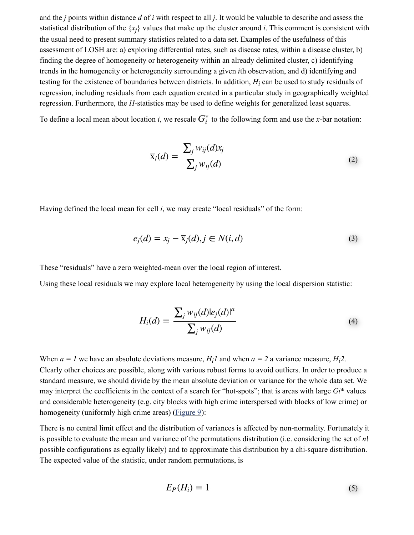and the *j* points within distance *d* of *i* with respect to all *j*. It would be valuable to describe and assess the statistical distribution of the  $\{x_j\}$  values that make up the cluster around *i*. This comment is consistent with the usual need to present summary statistics related to a data set. Examples of the usefulness of this assessment of LOSH are: a) exploring differential rates, such as disease rates, within a disease cluster, b) finding the degree of homogeneity or heterogeneity within an already delimited cluster, c) identifying trends in the homogeneity or heterogeneity surrounding a given *i*th observation, and d) identifying and testing for the existence of boundaries between districts. In addition,  $H_i$  can be used to study residuals of regression, including residuals from each equation created in a particular study in geographically weighted regression. Furthermore, the *H*-statistics may be used to define weights for generalized least squares.

To define a local mean about location *i*, we rescale  $G_i^*$  to the following form and use the *x*-bar notation:

$$
\overline{\mathbf{x}}_i(d) = \frac{\sum_j w_{ij}(d)x_j}{\sum_j w_{ij}(d)}
$$
\n(2)

Having defined the local mean for cell *i*, we may create "local residuals" of the form:

$$
e_j(d) = x_j - \overline{x}_j(d), j \in N(i, d)
$$
\n(3)

These "residuals" have a zero weighted-mean over the local region of interest.

Using these local residuals we may explore local heterogeneity by using the local dispersion statistic:

$$
H_i(d) = \frac{\sum_j w_{ij}(d)|e_j(d)|^d}{\sum_j w_{ij}(d)}
$$
\n<sup>(4)</sup>

When  $a = 1$  we have an absolute deviations measure,  $H_i1$  and when  $a = 2$  a variance measure,  $H_i2$ . Clearly other choices are possible, along with various robust forms to avoid outliers. In order to produce a standard measure, we should divide by the mean absolute deviation or variance for the whole data set. We may interpret the coefficients in the context of a search for "hot-spots"; that is areas with large *Gi*\* values and considerable heterogeneity (e.g. city blocks with high crime interspersed with blocks of low crime) or homogeneity (uniformly high crime areas) [\(Figure 9\)](https://www.nihms.nih.gov/pmc/articlerender.fcgi?artid=619789&rendertype=figure&id=F9):

There is no central limit effect and the distribution of variances is affected by non-normality. Fortunately it is possible to evaluate the mean and variance of the permutations distribution (i.e. considering the set of *n*! possible configurations as equally likely) and to approximate this distribution by a chi-square distribution. The expected value of the statistic, under random permutations, is

$$
E_P(H_i) = 1 \tag{5}
$$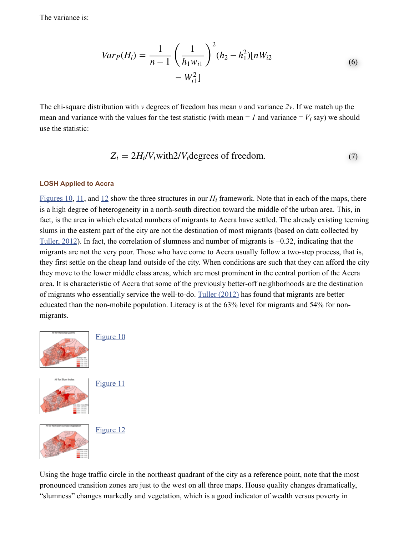The variance is:

$$
Var_P(H_i) = \frac{1}{n-1} \left(\frac{1}{h_1 w_{i1}}\right)^2 (h_2 - h_1^2) [nW_{i2} - W_{i1}^2]
$$
\n(6)

The chi-square distribution with *v* degrees of freedom has mean *v* and variance *2v*. If we match up the mean and variance with the values for the test statistic (with mean  $= I$  and variance  $= V_i$  say) we should use the statistic:

$$
Z_i = 2H_i/V_i \text{with} 2/V_i \text{degrees of freedom.} \tag{7}
$$

#### **LOSH Applied to Accra**

[Figures 10](https://www.nihms.nih.gov/pmc/articlerender.fcgi?artid=619789&rendertype=figure&id=F10), [11](https://www.nihms.nih.gov/pmc/articlerender.fcgi?artid=619789&rendertype=figure&id=F11), and [12](https://www.nihms.nih.gov/pmc/articlerender.fcgi?artid=619789&rendertype=figure&id=F12) show the three structures in our  $H_i$  framework. Note that in each of the maps, there is a high degree of heterogeneity in a north-south direction toward the middle of the urban area. This, in fact, is the area in which elevated numbers of migrants to Accra have settled. The already existing teeming slums in the eastern part of the city are not the destination of most migrants (based on data collected by [Tuller, 2012](https://www.nihms.nih.gov/pmc/articlerender.fcgi?artid=619789#R12)). In fact, the correlation of slumness and number of migrants is −0.32, indicating that the migrants are not the very poor. Those who have come to Accra usually follow a two-step process, that is, they first settle on the cheap land outside of the city. When conditions are such that they can afford the city they move to the lower middle class areas, which are most prominent in the central portion of the Accra area. It is characteristic of Accra that some of the previously better-off neighborhoods are the destination of migrants who essentially service the well-to-do. [Tuller \(2012\)](https://www.nihms.nih.gov/pmc/articlerender.fcgi?artid=619789#R12) has found that migrants are better educated than the non-mobile population. Literacy is at the 63% level for migrants and 54% for nonmigrants.



Using the huge traffic circle in the northeast quadrant of the city as a reference point, note that the most pronounced transition zones are just to the west on all three maps. House quality changes dramatically, "slumness" changes markedly and vegetation, which is a good indicator of wealth versus poverty in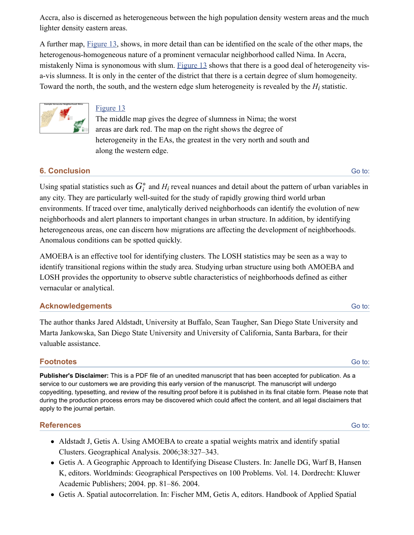Accra, also is discerned as heterogeneous between the high population density western areas and the much lighter density eastern areas.

A further map, [Figure 13,](https://www.nihms.nih.gov/pmc/articlerender.fcgi?artid=619789&rendertype=figure&id=F13) shows, in more detail than can be identified on the scale of the other maps, the heterogenous-homogeneous nature of a prominent vernacular neighborhood called Nima. In Accra, mistakenly Nima is synonomous with slum. [Figure 13](https://www.nihms.nih.gov/pmc/articlerender.fcgi?artid=619789&rendertype=figure&id=F13) shows that there is a good deal of heterogeneity visa-vis slumness. It is only in the center of the district that there is a certain degree of slum homogeneity. Toward the north, the south, and the western edge slum heterogeneity is revealed by the  $H_i$  statistic.



### [Figure 13](https://www.nihms.nih.gov/pmc/articlerender.fcgi?artid=619789&rendertype=figure&id=F13)

The middle map gives the degree of slumness in Nima; the worst areas are dark red. The map on the right shows the degree of heterogeneity in the EAs, the greatest in the very north and south and along the western edge.

### **6. Conclusion**

[Go to:](https://www.nihms.nih.gov/pmc/articlerender.fcgi?artid=619789#ui-ncbiinpagenav-2)

Using spatial statistics such as  $G_i^*$  and  $H_i$  reveal nuances and detail about the pattern of urban variables in any city. They are particularly well-suited for the study of rapidly growing third world urban environments. If traced over time, analytically derived neighborhoods can identify the evolution of new neighborhoods and alert planners to important changes in urban structure. In addition, by identifying heterogeneous areas, one can discern how migrations are affecting the development of neighborhoods. Anomalous conditions can be spotted quickly.

AMOEBA is an effective tool for identifying clusters. The LOSH statistics may be seen as a way to identify transitional regions within the study area. Studying urban structure using both AMOEBA and LOSH provides the opportunity to observe subtle characteristics of neighborhoods defined as either vernacular or analytical.

# **Acknowledgements**

The author thanks Jared Aldstadt, University at Buffalo, Sean Taugher, San Diego State University and Marta Jankowska, San Diego State University and University of California, Santa Barbara, for their valuable assistance.

# **Footnotes**

**Publisher's Disclaimer:** This is a PDF file of an unedited manuscript that has been accepted for publication. As a service to our customers we are providing this early version of the manuscript. The manuscript will undergo copyediting, typesetting, and review of the resulting proof before it is published in its final citable form. Please note that during the production process errors may be discovered which could affect the content, and all legal disclaimers that apply to the journal pertain.

# **References**

- Aldstadt J, Getis A. Using AMOEBA to create a spatial weights matrix and identify spatial Clusters. Geographical Analysis. 2006;38:327–343.
- Getis A. A Geographic Approach to Identifying Disease Clusters. In: Janelle DG, Warf B, Hansen K, editors. Worldminds: Geographical Perspectives on 100 Problems. Vol. 14. Dordrecht: Kluwer Academic Publishers; 2004. pp. 81–86. 2004.
- Getis A. Spatial autocorrelation. In: Fischer MM, Getis A, editors. Handbook of Applied Spatial

#### [Go to:](https://www.nihms.nih.gov/pmc/articlerender.fcgi?artid=619789#ui-ncbiinpagenav-2)

[Go to:](https://www.nihms.nih.gov/pmc/articlerender.fcgi?artid=619789#ui-ncbiinpagenav-2)

[Go to:](https://www.nihms.nih.gov/pmc/articlerender.fcgi?artid=619789#ui-ncbiinpagenav-2)